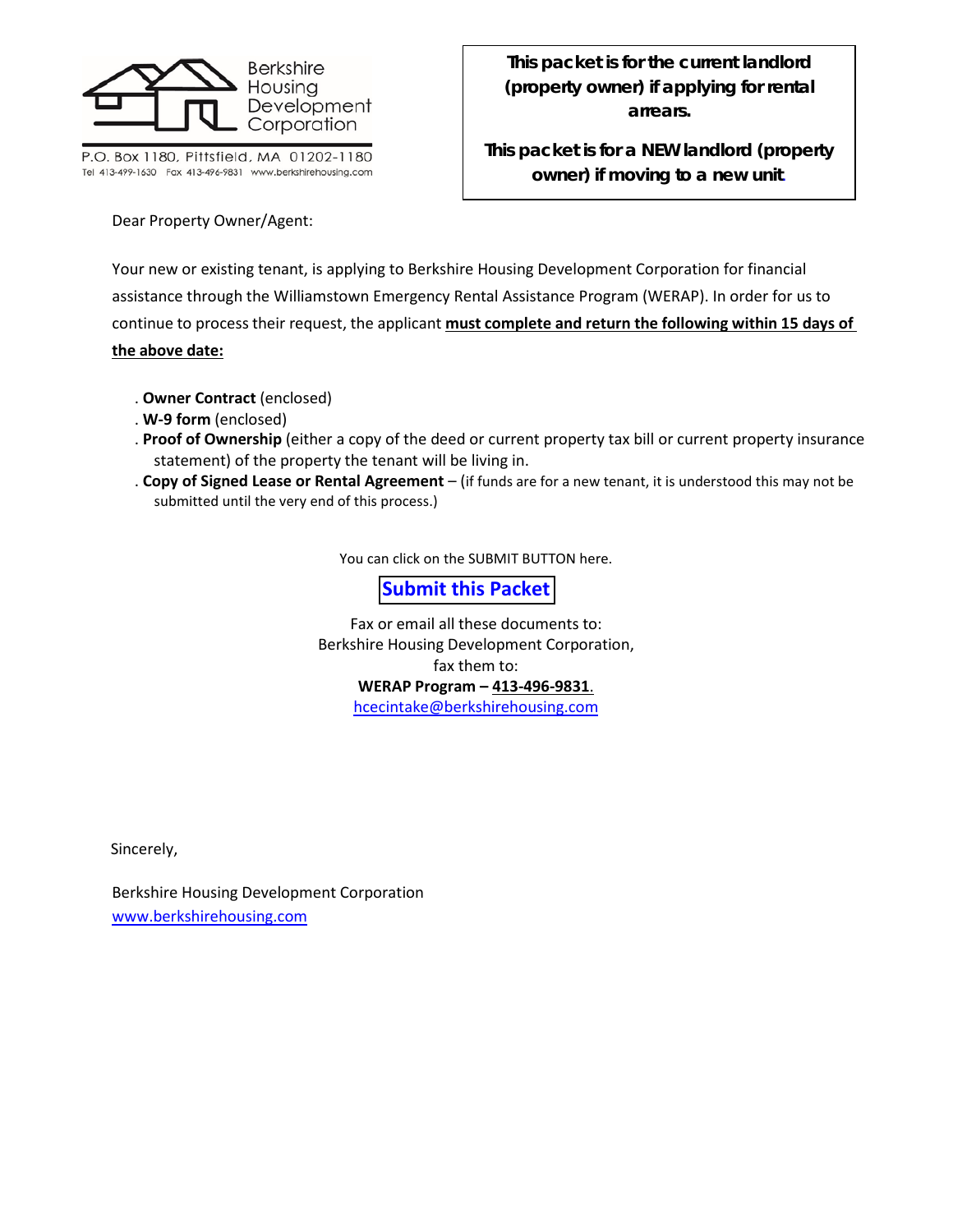

P.O. Box 1180, Pittsfield, MA 01202-1180 Tel 413-499-1630 Fax 413-496-9831 www.berkshirehousing.com **This packet is for the current landlord (property owner) if applying for rental arrears.**

**This packet is for a NEW landlord (property owner) if moving to a new unit***.*

Dear Property Owner/Agent:

Your new or existing tenant, is applying to Berkshire Housing Development Corporation for financial assistance through the Williamstown Emergency Rental Assistance Program (WERAP). In order for us to continue to process their request, the applicant **must complete and return the following within 15 days of the above date:**

- . **Owner Contract** (enclosed)
- . **W-9 form** (enclosed)
- . **Proof of Ownership** (either a copy of the deed or current property tax bill or current property insurance statement) of the property the tenant will be living in.
- . **Copy of Signed Lease or Rental Agreement**  (if funds are for a new tenant, it is understood this may not be submitted until the very end of this process.)

You can click on the SUBMIT BUTTON here.

## **Submit this Packet**

Fax or email all these documents to: Berkshire Housing Development Corporation, fax them to: **WERAP Program – 413-496-9831**. [hcecintake@berkshirehousing.com](mailto:hcecintake@berkshirehousing.com)

Sincerely,

Berkshire Housing Development Corporation [www.berkshirehousing.com](http://www.berkshirehousing.com/)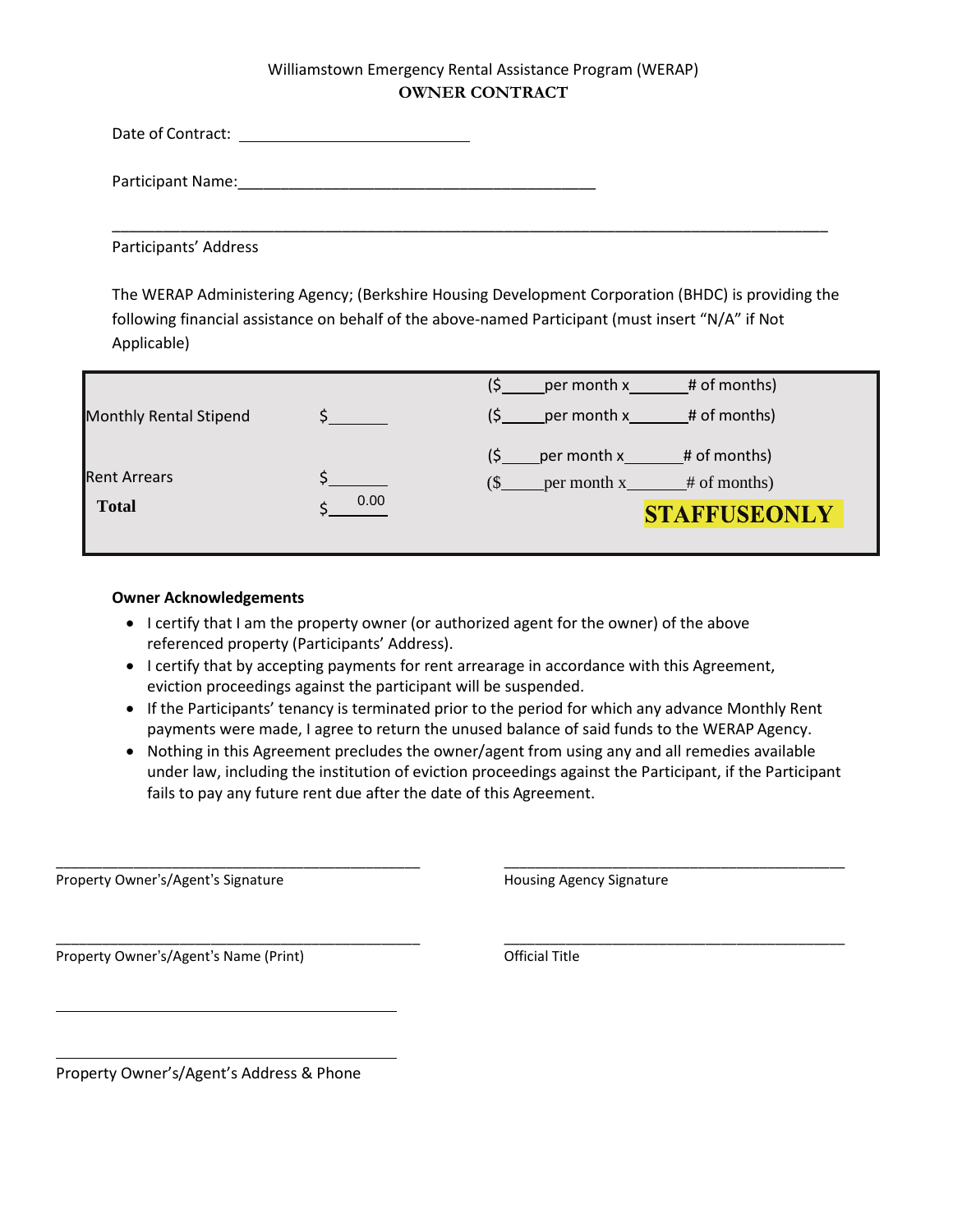### Williamstown Emergency Rental Assistance Program (WERAP) **OWNER CONTRACT**

Date of Contract:

Participant Name: <u>Discussion</u>

Participants' Address

The WERAP Administering Agency; (Berkshire Housing Development Corporation (BHDC) is providing the following financial assistance on behalf of the above-named Participant (must insert "N/A" if Not Applicable)

\_\_\_\_\_\_\_\_\_\_\_\_\_\_\_\_\_\_\_\_\_\_\_\_\_\_\_\_\_\_\_\_\_\_\_\_\_\_\_\_\_\_\_\_\_\_\_\_\_\_\_\_\_\_\_\_\_\_\_\_\_\_\_\_\_\_\_\_\_\_\_\_\_\_\_\_\_\_\_\_\_\_\_\_

|                        |      | # of months)<br>per month x                                            |
|------------------------|------|------------------------------------------------------------------------|
| Monthly Rental Stipend |      | # of months)<br>per month x                                            |
| <b>Rent Arrears</b>    |      | (Ś<br>per month x<br># of months)<br>(S<br>per month x<br># of months) |
| <b>Total</b>           | 0.00 | <b>STAFFUSEONLY</b>                                                    |

#### **Owner Acknowledgements**

- I certify that I am the property owner (or authorized agent for the owner) of the above referenced property (Participants' Address).
- I certify that by accepting payments for rent arrearage in accordance with this Agreement, eviction proceedings against the participant will be suspended.

\_\_\_\_\_\_\_\_\_\_\_\_\_\_\_\_\_\_\_\_\_\_\_\_\_\_\_\_\_\_\_\_\_\_\_\_\_\_\_\_\_\_\_\_\_\_\_ \_\_\_\_\_\_\_\_\_\_\_\_\_\_\_\_\_\_\_\_\_\_\_\_\_\_\_\_\_\_\_\_\_\_\_\_\_\_\_\_\_\_\_\_

\_\_\_\_\_\_\_\_\_\_\_\_\_\_\_\_\_\_\_\_\_\_\_\_\_\_\_\_\_\_\_\_\_\_\_\_\_\_\_\_\_\_\_\_\_\_\_ \_\_\_\_\_\_\_\_\_\_\_\_\_\_\_\_\_\_\_\_\_\_\_\_\_\_\_\_\_\_\_\_\_\_\_\_\_\_\_\_\_\_\_\_

- If the Participants' tenancy is terminated prior to the period for which any advance Monthly Rent payments were made, I agree to return the unused balance of said funds to the WERAP Agency.
- Nothing in this Agreement precludes the owner/agent from using any and all remedies available under law, including the institution of eviction proceedings against the Participant, if the Participant fails to pay any future rent due after the date of this Agreement.

Property Owner's/Agent's Signature Housing Agency Signature Housing Agency Signature

Property Owner's/Agent's Name (Print) and the Control official Title

Property Owner's/Agent's Address & Phone